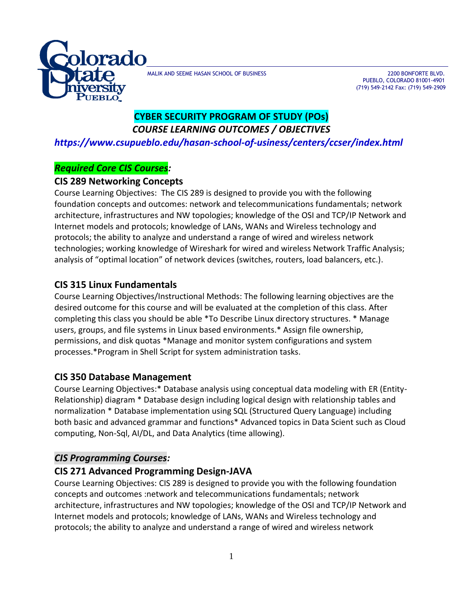

MALIK AND SEEME HASAN SCHOOL OF BUSINESS **2200 BONFORTE BLVD.** 2200 BONFORTE BLVD.

 PUEBLO, COLORADO 81001-4901 (719) 549-2142 Fax: (719) 549-2909

# **CYBER SECURITY PROGRAM OF STUDY (POs)** *COURSE LEARNING OUTCOMES / OBJECTIVES*

*https://www.csupueblo.edu/hasan-school-of-usiness/centers/ccser/index.html*

### *Required Core CIS Courses:*

### **CIS 289 Networking Concepts**

Course Learning Objectives: The CIS 289 is designed to provide you with the following foundation concepts and outcomes: network and telecommunications fundamentals; network architecture, infrastructures and NW topologies; knowledge of the OSI and TCP/IP Network and Internet models and protocols; knowledge of LANs, WANs and Wireless technology and protocols; the ability to analyze and understand a range of wired and wireless network technologies; working knowledge of Wireshark for wired and wireless Network Traffic Analysis; analysis of "optimal location" of network devices (switches, routers, load balancers, etc.).

## **CIS 315 Linux Fundamentals**

Course Learning Objectives/Instructional Methods: The following learning objectives are the desired outcome for this course and will be evaluated at the completion of this class. After completing this class you should be able \*To Describe Linux directory structures. \* Manage users, groups, and file systems in Linux based environments.\* Assign file ownership, permissions, and disk quotas \*Manage and monitor system configurations and system processes.\*Program in Shell Script for system administration tasks.

## **CIS 350 Database Management**

Course Learning Objectives:\* Database analysis using conceptual data modeling with ER (Entity-Relationship) diagram \* Database design including logical design with relationship tables and normalization \* Database implementation using SQL (Structured Query Language) including both basic and advanced grammar and functions\* Advanced topics in Data Scient such as Cloud computing, Non-Sql, AI/DL, and Data Analytics (time allowing).

## *CIS Programming Courses:*

## **CIS 271 Advanced Programming Design-JAVA**

Course Learning Objectives: CIS 289 is designed to provide you with the following foundation concepts and outcomes :network and telecommunications fundamentals; network architecture, infrastructures and NW topologies; knowledge of the OSI and TCP/IP Network and Internet models and protocols; knowledge of LANs, WANs and Wireless technology and protocols; the ability to analyze and understand a range of wired and wireless network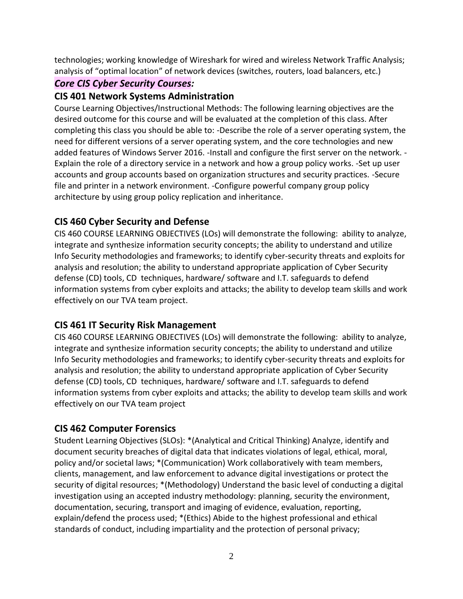technologies; working knowledge of Wireshark for wired and wireless Network Traffic Analysis; analysis of "optimal location" of network devices (switches, routers, load balancers, etc.)

### *Core CIS Cyber Security Courses:*

### **CIS 401 Network Systems Administration**

Course Learning Objectives/Instructional Methods: The following learning objectives are the desired outcome for this course and will be evaluated at the completion of this class. After completing this class you should be able to: -Describe the role of a server operating system, the need for different versions of a server operating system, and the core technologies and new added features of Windows Server 2016. -Install and configure the first server on the network. - Explain the role of a directory service in a network and how a group policy works. -Set up user accounts and group accounts based on organization structures and security practices. -Secure file and printer in a network environment. -Configure powerful company group policy architecture by using group policy replication and inheritance.

## **CIS 460 Cyber Security and Defense**

CIS 460 COURSE LEARNING OBJECTIVES (LOs) will demonstrate the following: ability to analyze, integrate and synthesize information security concepts; the ability to understand and utilize Info Security methodologies and frameworks; to identify cyber-security threats and exploits for analysis and resolution; the ability to understand appropriate application of Cyber Security defense (CD) tools, CD techniques, hardware/ software and I.T. safeguards to defend information systems from cyber exploits and attacks; the ability to develop team skills and work effectively on our TVA team project.

## **CIS 461 IT Security Risk Management**

CIS 460 COURSE LEARNING OBJECTIVES (LOs) will demonstrate the following: ability to analyze, integrate and synthesize information security concepts; the ability to understand and utilize Info Security methodologies and frameworks; to identify cyber-security threats and exploits for analysis and resolution; the ability to understand appropriate application of Cyber Security defense (CD) tools, CD techniques, hardware/ software and I.T. safeguards to defend information systems from cyber exploits and attacks; the ability to develop team skills and work effectively on our TVA team project

## **CIS 462 Computer Forensics**

Student Learning Objectives (SLOs): \*(Analytical and Critical Thinking) Analyze, identify and document security breaches of digital data that indicates violations of legal, ethical, moral, policy and/or societal laws; \*(Communication) Work collaboratively with team members, clients, management, and law enforcement to advance digital investigations or protect the security of digital resources; \*(Methodology) Understand the basic level of conducting a digital investigation using an accepted industry methodology: planning, security the environment, documentation, securing, transport and imaging of evidence, evaluation, reporting, explain/defend the process used; \*(Ethics) Abide to the highest professional and ethical standards of conduct, including impartiality and the protection of personal privacy;